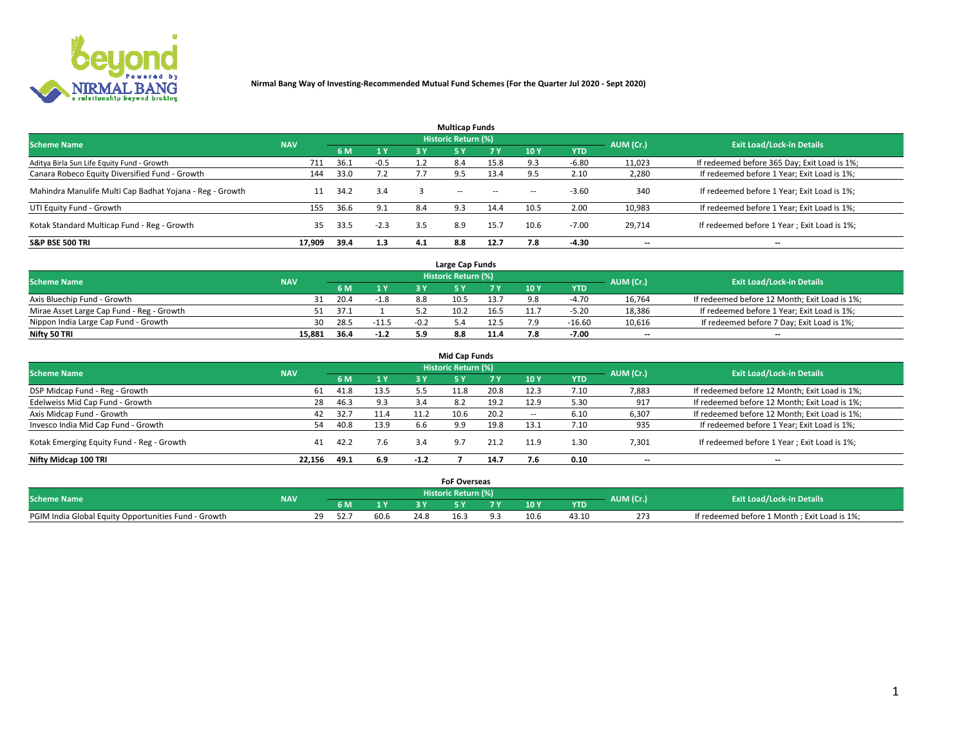

| <b>Multicap Funds</b>                                    |            |      |        |     |                     |           |                          |            |           |                                              |  |  |  |
|----------------------------------------------------------|------------|------|--------|-----|---------------------|-----------|--------------------------|------------|-----------|----------------------------------------------|--|--|--|
| <b>Scheme Name</b>                                       | <b>NAV</b> |      |        |     | Historic Return (%) |           |                          |            | AUM (Cr.) | <b>Exit Load/Lock-in Details</b>             |  |  |  |
|                                                          |            | 6 M  | 1 Y    | 3 Y | <b>5Y</b>           | <b>7Y</b> | 10Y                      | <b>YTD</b> |           |                                              |  |  |  |
| Aditya Birla Sun Life Equity Fund - Growth               | 711        | 36.1 | $-0.5$ |     |                     | 15.8      |                          | $-6.80$    | 11,023    | If redeemed before 365 Day; Exit Load is 1%; |  |  |  |
| Canara Robeco Equity Diversified Fund - Growth           | 144        | 33.0 | 7.2    |     | 9.5                 | 13.4      |                          | 2.10       | 2,280     | If redeemed before 1 Year; Exit Load is 1%;  |  |  |  |
| Mahindra Manulife Multi Cap Badhat Yojana - Reg - Growth | 11         | 34.2 | 3.4    |     | $\sim$ $-$          | $\sim$    | $\overline{\phantom{a}}$ | $-3.60$    | 340       | If redeemed before 1 Year; Exit Load is 1%;  |  |  |  |
| UTI Equity Fund - Growth                                 | 155        | 36.6 | 9.1    | 8.4 | 9.3                 | 14.4      | 10.5                     | 2.00       | 10,983    | If redeemed before 1 Year; Exit Load is 1%;  |  |  |  |
| Kotak Standard Multicap Fund - Reg - Growth              | 35         | 33.5 | $-2.3$ | 3.5 | 8.9                 | 15.7      | 10.6                     | $-7.00$    | 29.714    | If redeemed before 1 Year; Exit Load is 1%;  |  |  |  |
| <b>S&amp;P BSE 500 TRI</b>                               | 17.909     | 39.4 | 1.3    | 4.1 | 8.8                 | 12.7      | 7.8                      | $-4.30$    | --        | $- -$                                        |  |  |  |

|                                           |            |         |                |        | Large Cap Funds     |      |      |            |                          |                                               |
|-------------------------------------------|------------|---------|----------------|--------|---------------------|------|------|------------|--------------------------|-----------------------------------------------|
| <b>Scheme Name</b>                        | <b>NAV</b> |         |                |        | Historic Return (%) |      |      |            | AUM (Cr.)                | <b>Exit Load/Lock-in Details</b>              |
|                                           |            | 6 M     | 4 <sub>Y</sub> |        |                     |      | 10 Y | <b>YTD</b> |                          |                                               |
| Axis Bluechip Fund - Growth               |            | 20.4    | $-1.8$         | 8.8    | 10.5                | 13.7 |      | -4.70      | 16,764                   | If redeemed before 12 Month; Exit Load is 1%; |
| Mirae Asset Large Cap Fund - Reg - Growth |            | 51 37.1 |                |        | 10.2                | 16.5 |      | $-5.20$    | 18,386                   | If redeemed before 1 Year; Exit Load is 1%;   |
| Nippon India Large Cap Fund - Growth      | 30         | 28.5    | $-11.5$        | $-0.2$ |                     | 12.5 |      | $-16.60$   | 10,616                   | If redeemed before 7 Day; Exit Load is 1%;    |
| Nifty 50 TRI                              | 15.881     | 36.4    | $-1.2$         |        | 8.8                 | 11.4 |      | $-7.00$    | $\overline{\phantom{a}}$ | $- -$                                         |

| <b>Mid Cap Funds</b>                      |            |      |      |        |                            |      |            |            |                          |                                               |  |  |  |
|-------------------------------------------|------------|------|------|--------|----------------------------|------|------------|------------|--------------------------|-----------------------------------------------|--|--|--|
| <b>Scheme Name</b>                        | <b>NAV</b> |      |      |        | <b>Historic Return (%)</b> |      |            |            | AUM (Cr.)                | <b>Exit Load/Lock-in Details</b>              |  |  |  |
|                                           |            | 6 M  | 1 Y  | 3 Y    |                            | 7 Y  | <b>10Y</b> | <b>YTD</b> |                          |                                               |  |  |  |
| DSP Midcap Fund - Reg - Growth            | 61         | 41.8 | 13.5 |        | 11.8                       | 20.8 | 12.3       | 7.10       | 7,883                    | If redeemed before 12 Month; Exit Load is 1%; |  |  |  |
| Edelweiss Mid Cap Fund - Growth           | 28         | 46.3 | 9.3  | 3.4    | 8.2                        | 19.2 | 12.9       | 5.30       | 917                      | If redeemed before 12 Month; Exit Load is 1%; |  |  |  |
| Axis Midcap Fund - Growth                 | 42         | 32.7 | 11.4 | 11.2   | 10.6                       | 20.2 | -          | 6.10       | 6,307                    | If redeemed before 12 Month; Exit Load is 1%; |  |  |  |
| Invesco India Mid Cap Fund - Growth       | 54         | 40.8 | 13.9 | 6.6    | 9.9                        | 19.8 | 13.1       | 7.10       | 935                      | If redeemed before 1 Year; Exit Load is 1%;   |  |  |  |
| Kotak Emerging Equity Fund - Reg - Growth | 41         | 42.2 | 7.6  | 3.4    | 9.7                        | 21.2 | 11.9       | 1.30       | 7,301                    | If redeemed before 1 Year; Exit Load is 1%;   |  |  |  |
| Nifty Midcap 100 TRI                      | 22.156     | 49.1 | 6.9  | $-1.2$ |                            | 14.7 |            | 0.10       | $\overline{\phantom{a}}$ | $- -$                                         |  |  |  |

|                                                      |            |      |      |      | <b>FoF Overseas</b> |      |            |           |                                              |
|------------------------------------------------------|------------|------|------|------|---------------------|------|------------|-----------|----------------------------------------------|
| <b>Scheme Name</b>                                   | <b>NAV</b> |      |      |      | Historic Return (%) |      |            | AUM (Cr.) | <b>Exit Load/Lock-in Details</b>             |
|                                                      |            | 6 M  | 1Y   |      |                     | 10 Y | <b>YTD</b> |           |                                              |
| PGIM India Global Equity Opportunities Fund - Growth |            | ነረ., | 60.6 | 24.8 |                     |      | 43.10      | 273       | If redeemed before 1 Month; Exit Load is 1%; |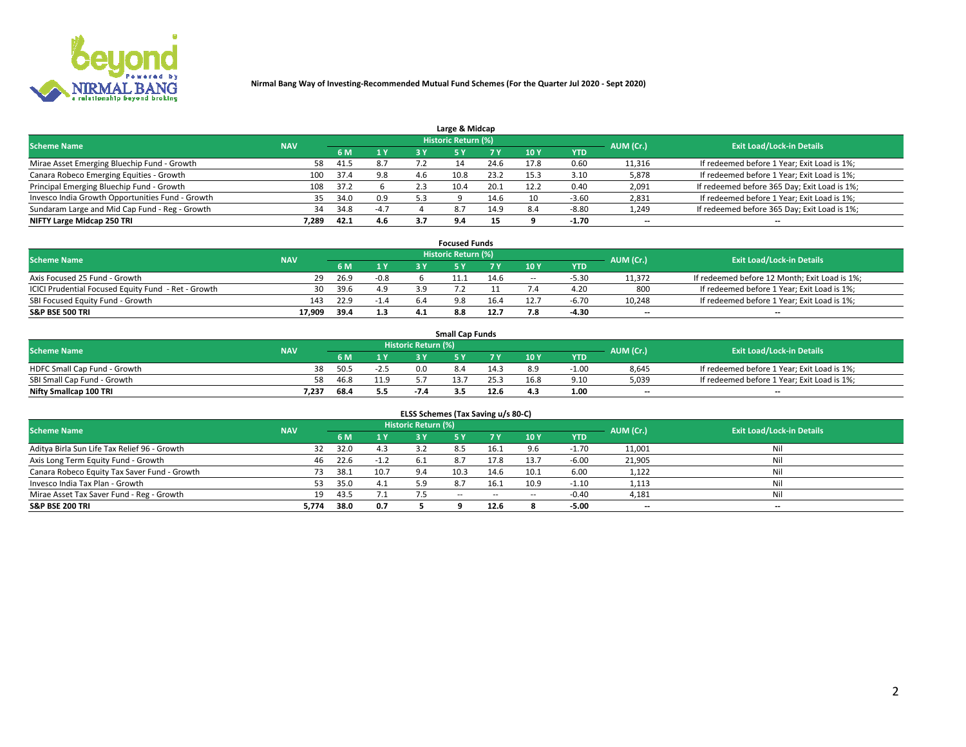

| Large & Midcap                                   |            |      |        |     |                     |      |      |            |                          |                                              |  |  |  |  |
|--------------------------------------------------|------------|------|--------|-----|---------------------|------|------|------------|--------------------------|----------------------------------------------|--|--|--|--|
| <b>Scheme Name</b>                               | <b>NAV</b> |      |        |     | Historic Return (%) |      |      |            | AUM (Cr.)                | <b>Exit Load/Lock-in Details</b>             |  |  |  |  |
|                                                  |            | 6 M  | 1 Y    | 3 Y |                     | 7 V  | 10Y  | <b>YTD</b> |                          |                                              |  |  |  |  |
| Mirae Asset Emerging Bluechip Fund - Growth      | 58         | 41.5 | 8.7    |     |                     | 24.6 | 17.8 | 0.60       | 11,316                   | If redeemed before 1 Year; Exit Load is 1%;  |  |  |  |  |
| Canara Robeco Emerging Equities - Growth         | 100        | 37.4 | 9.8    | 4.6 | 10.8                | 23.2 | 15.3 | 3.10       | 5,878                    | If redeemed before 1 Year; Exit Load is 1%;  |  |  |  |  |
| Principal Emerging Bluechip Fund - Growth        | 108        | 37.2 |        | 2.3 | 10.4                | 20.1 | 12.2 | 0.40       | 2,091                    | If redeemed before 365 Day; Exit Load is 1%; |  |  |  |  |
| Invesco India Growth Opportunities Fund - Growth | 35         | 34.0 | 0.9    | 5.3 |                     | 14.b | 10   | $-3.60$    | 2,831                    | If redeemed before 1 Year; Exit Load is 1%;  |  |  |  |  |
| Sundaram Large and Mid Cap Fund - Reg - Growth   | 34         | 34.8 | $-4.7$ |     | 8.7                 | 14.9 | 8.4  | $-8.80$    | 1,249                    | If redeemed before 365 Day; Exit Load is 1%; |  |  |  |  |
| NIFTY Large Midcap 250 TRI                       | 7.289      | 42.1 | 4.6    |     | 9.4                 | 15   |      | -1.70      | $\overline{\phantom{a}}$ | $- -$                                        |  |  |  |  |

|                                                     |            |      |        |     | <b>Focused Funds</b>       |      |        |            |                          |                                               |
|-----------------------------------------------------|------------|------|--------|-----|----------------------------|------|--------|------------|--------------------------|-----------------------------------------------|
| <b>Scheme Name</b>                                  | <b>NAV</b> |      |        |     | <b>Historic Return (%)</b> |      |        |            | AUM (Cr.)                | <b>Exit Load/Lock-in Details</b>              |
|                                                     |            | 6 M  | 1 Y    |     |                            |      | 10 Y   | <b>YTD</b> |                          |                                               |
| Axis Focused 25 Fund - Growth                       | 29         | 26.9 | $-0.8$ |     |                            | 14.6 | $\sim$ | $-5.30$    | 11.372                   | If redeemed before 12 Month; Exit Load is 1%; |
| ICICI Prudential Focused Equity Fund - Ret - Growth | 30         | 39.6 | 4.9    |     |                            |      |        | 4.20       | 800                      | If redeemed before 1 Year; Exit Load is 1%;   |
| SBI Focused Equity Fund - Growth                    | 143        | 22.9 | $-1.4$ | 6.4 | 9.8                        | 16.4 |        | $-6.70$    | 10,248                   | If redeemed before 1 Year; Exit Load is 1%;   |
| S&P BSE 500 TRI                                     | 17.909     | 39.4 | 1.3    |     |                            | 12.7 |        | -4.30      | $\overline{\phantom{a}}$ | $- -$                                         |

| <b>Small Cap Funds</b>       |            |      |        |                     |      |      |                 |            |           |                                             |  |  |
|------------------------------|------------|------|--------|---------------------|------|------|-----------------|------------|-----------|---------------------------------------------|--|--|
| <b>Scheme Name</b>           | <b>NAV</b> |      |        | Historic Return (%) |      |      |                 |            | AUM (Cr.) | <b>Exit Load/Lock-in Details</b>            |  |  |
|                              |            | 6 M  | 1 Y    |                     |      |      | 10 <sub>Y</sub> | <b>YTD</b> |           |                                             |  |  |
| HDFC Small Cap Fund - Growth | 38         | 50.5 | $-2.5$ | 0.0                 | 8.4  |      | 8.9             | $-1.00$    | 8,645     | If redeemed before 1 Year; Exit Load is 1%; |  |  |
| SBI Small Cap Fund - Growth  | 58         | 46.8 | 11.9   |                     | 13.7 |      | 16.8            | 9.10       | 5,039     | If redeemed before 1 Year; Exit Load is 1%; |  |  |
| Nifty Smallcap 100 TRI       | 7,237      | 68.4 | 5.5    | -7.4                |      | 12.6 | 4.3             | 1.00       | $- -$     | $- -$                                       |  |  |

| ELSS Schemes (Tax Saving u/s 80-C)           |            |      |        |                            |           |        |                          |            |                          |                                  |  |  |  |
|----------------------------------------------|------------|------|--------|----------------------------|-----------|--------|--------------------------|------------|--------------------------|----------------------------------|--|--|--|
| <b>Scheme Name</b>                           | <b>NAV</b> |      |        | <b>Historic Return (%)</b> |           |        |                          |            | AUM (Cr.)                | <b>Exit Load/Lock-in Details</b> |  |  |  |
|                                              |            | 6 M  | 1Y     | 3 Y                        | <b>5Y</b> | 7 Y    | 10 Y                     | <b>YTD</b> |                          |                                  |  |  |  |
| Aditya Birla Sun Life Tax Relief 96 - Growth | 32         | 32.0 | 4.3    |                            |           | 16.1   |                          | $-1.70$    | 11,001                   | Nil                              |  |  |  |
| Axis Long Term Equity Fund - Growth          | 46         | 22.6 | $-1.2$ | -6.1                       | 8.7       | 17.8   | 13.7                     | $-6.00$    | 21,905                   | Nil                              |  |  |  |
| Canara Robeco Equity Tax Saver Fund - Growth | 73         | 38.1 | 10.7   | 9.4                        | 10.3      | 14.6   | 10.1                     | 6.00       | 1,122                    | Nil                              |  |  |  |
| Invesco India Tax Plan - Growth              | 53         | 35.0 | 4.1    | 5.9                        | 8.7       | 16.1   | 10.9                     | $-1.10$    | 1,113                    | Nil                              |  |  |  |
| Mirae Asset Tax Saver Fund - Reg - Growth    | 19         | 43.5 | 7.1    |                            | $- -$     | $\sim$ | $\overline{\phantom{a}}$ | $-0.40$    | 4,181                    | Nil                              |  |  |  |
| S&P BSE 200 TRI                              | 5,774      | 38.0 | 0.7    |                            |           | 12.6   |                          | $-5.00$    | $\overline{\phantom{a}}$ | $- -$                            |  |  |  |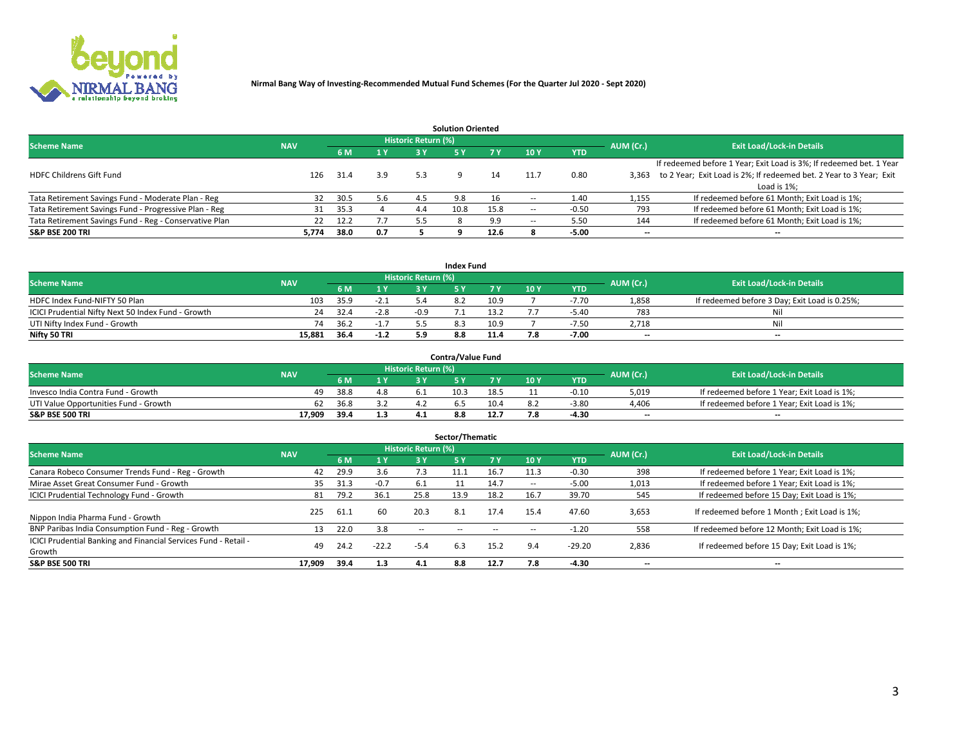

|                                                        |            |            |     |                            | <b>Solution Oriented</b> |      |                          |            |                          |                                                                     |
|--------------------------------------------------------|------------|------------|-----|----------------------------|--------------------------|------|--------------------------|------------|--------------------------|---------------------------------------------------------------------|
| <b>Scheme Name</b>                                     | <b>NAV</b> |            |     | <b>Historic Return (%)</b> |                          |      |                          |            | AUM (Cr.)                | <b>Exit Load/Lock-in Details</b>                                    |
|                                                        |            | <b>6 M</b> | 1 Y | 3 Y                        |                          |      | 10Y                      | <b>YTD</b> |                          |                                                                     |
|                                                        |            |            |     |                            |                          |      |                          |            |                          | If redeemed before 1 Year; Exit Load is 3%; If redeemed bet. 1 Year |
| <b>HDFC Childrens Gift Fund</b>                        | 126        | 31.4       | 3.9 | 5.3                        |                          |      | 11.7                     | 0.80       | 3.363                    | to 2 Year; Exit Load is 2%; If redeemed bet. 2 Year to 3 Year; Exit |
|                                                        |            |            |     |                            |                          |      |                          |            |                          | Load is 1%;                                                         |
| Tata Retirement Savings Fund - Moderate Plan - Reg     | 32         | 30.5       | 5.6 | 4.5                        | 9.8                      |      |                          | 1.40       | 1,155                    | If redeemed before 61 Month; Exit Load is 1%;                       |
| Tata Retirement Savings Fund - Progressive Plan - Reg  | 31         | 35.3       |     | 4.4                        | 10.8                     | 15.8 | $\overline{\phantom{a}}$ | $-0.50$    | 793                      | If redeemed before 61 Month; Exit Load is 1%;                       |
| Tata Retirement Savings Fund - Reg - Conservative Plan | 22         | 12.2       |     | 5.5                        |                          | 9.9  | --                       | 5.50       | 144                      | If redeemed before 61 Month; Exit Load is 1%;                       |
| S&P BSE 200 TRI                                        | 5,774      | 38.0       | 0.7 |                            |                          | 12.6 |                          | $-5.00$    | $\overline{\phantom{a}}$ | $- -$                                                               |

|                                                    |            |      |        |                            | <b>Index Fund</b> |      |      |            |                          |                                               |
|----------------------------------------------------|------------|------|--------|----------------------------|-------------------|------|------|------------|--------------------------|-----------------------------------------------|
| <b>Scheme Name</b>                                 | <b>NAV</b> |      |        | <b>Historic Return (%)</b> |                   |      |      |            | AUM (Cr.)                | <b>Exit Load/Lock-in Details</b>              |
|                                                    |            | 6 M  | 1Y     | 2 V                        |                   |      | 10 Y | <b>YTD</b> |                          |                                               |
| HDFC Index Fund-NIFTY 50 Plan                      | 103        | 35.9 | $-2.1$ |                            |                   | 10.9 |      | -7.70      | 1,858                    | If redeemed before 3 Day; Exit Load is 0.25%; |
| ICICI Prudential Nifty Next 50 Index Fund - Growth | 24         | 32.4 | $-2.8$ | -0.9                       |                   | 13.2 |      | $-5.40$    | 783                      | Nil                                           |
| UTI Nifty Index Fund - Growth                      | 74         | 36.2 | $-1.7$ |                            |                   | 10.9 |      | $-7.50$    | 2.718                    | Nil                                           |
| Nifty 50 TRI                                       | 15.881     | 36.4 | $-1.2$ |                            | 8.8               | 11.4 |      | $-7.00$    | $\overline{\phantom{a}}$ | $- -$                                         |

|                                       |            |      |     |                            | <b>Contra/Value Fund</b> |      |     |            |                          |                                             |
|---------------------------------------|------------|------|-----|----------------------------|--------------------------|------|-----|------------|--------------------------|---------------------------------------------|
| <b>Scheme Name</b>                    | <b>NAV</b> |      |     | <b>Historic Return (%)</b> |                          |      |     |            | AUM (Cr.)                | <b>Exit Load/Lock-in Details</b>            |
|                                       |            |      | 1 V |                            |                          | 7 V  | 10Y | <b>YTD</b> |                          |                                             |
| Invesco India Contra Fund - Growth    | 49.        | 38.8 | 4.8 |                            | 10.3                     | 18.5 |     | -0.10      | 5,019                    | If redeemed before 1 Year; Exit Load is 1%; |
| UTI Value Opportunities Fund - Growth | 62         | 36.8 |     |                            |                          | 10.4 |     | $-3.8C$    | 4,406                    | If redeemed before 1 Year; Exit Load is 1%; |
| <b>S&amp;P BSE 500 TRI</b>            | 17.909     | 39.4 | 1.3 |                            |                          | 12.7 |     | -4.30      | $\overline{\phantom{a}}$ | $- -$                                       |

| Sector/Thematic                                                           |            |      |         |                     |            |            |                          |            |                          |                                               |  |  |  |
|---------------------------------------------------------------------------|------------|------|---------|---------------------|------------|------------|--------------------------|------------|--------------------------|-----------------------------------------------|--|--|--|
| <b>Scheme Name</b>                                                        | <b>NAV</b> |      |         | Historic Return (%) |            |            |                          |            | AUM (Cr.)                | <b>Exit Load/Lock-in Details</b>              |  |  |  |
|                                                                           |            | 6 M  | 1 Y     | 3 Y                 | <b>5Y</b>  | <b>7 Y</b> | 10Y                      | <b>YTD</b> |                          |                                               |  |  |  |
| Canara Robeco Consumer Trends Fund - Reg - Growth                         | 42         | 29.9 | 3.6     | 7.3                 | 11.1       | 16.7       | 11.3                     | $-0.30$    | 398                      | If redeemed before 1 Year; Exit Load is 1%;   |  |  |  |
| Mirae Asset Great Consumer Fund - Growth                                  | 35         | 31.3 | $-0.7$  | -6.1                |            | 14.7       | $\overline{\phantom{a}}$ | $-5.00$    | 1,013                    | If redeemed before 1 Year; Exit Load is 1%;   |  |  |  |
| <b>ICICI Prudential Technology Fund - Growth</b>                          | 81         | 79.2 | 36.1    | 25.8                | 13.9       | 18.2       | 16.7                     | 39.70      | 545                      | If redeemed before 15 Day; Exit Load is 1%;   |  |  |  |
| Nippon India Pharma Fund - Growth                                         | 225        | 61.1 | 60      | 20.3                | 8.1        | 17.4       | 15.4                     | 47.60      | 3,653                    | If redeemed before 1 Month; Exit Load is 1%;  |  |  |  |
| BNP Paribas India Consumption Fund - Reg - Growth                         |            | 22.0 | 3.8     | $\sim$ $\sim$       | $\sim$ $-$ | $\sim$     | $\overline{\phantom{a}}$ | $-1.20$    | 558                      | If redeemed before 12 Month; Exit Load is 1%; |  |  |  |
| ICICI Prudential Banking and Financial Services Fund - Retail -<br>Growth | 49         | 24.2 | $-22.2$ | $-5.4$              | 6.3        | 15.2       | 9.4                      | $-29.20$   | 2,836                    | If redeemed before 15 Day; Exit Load is 1%;   |  |  |  |
| <b>S&amp;P BSE 500 TRI</b>                                                | 17.909     | 39.4 | 1.3     | 4.1                 | 8.8        | 12.7       | 7.8                      | $-4.30$    | $\overline{\phantom{a}}$ | --                                            |  |  |  |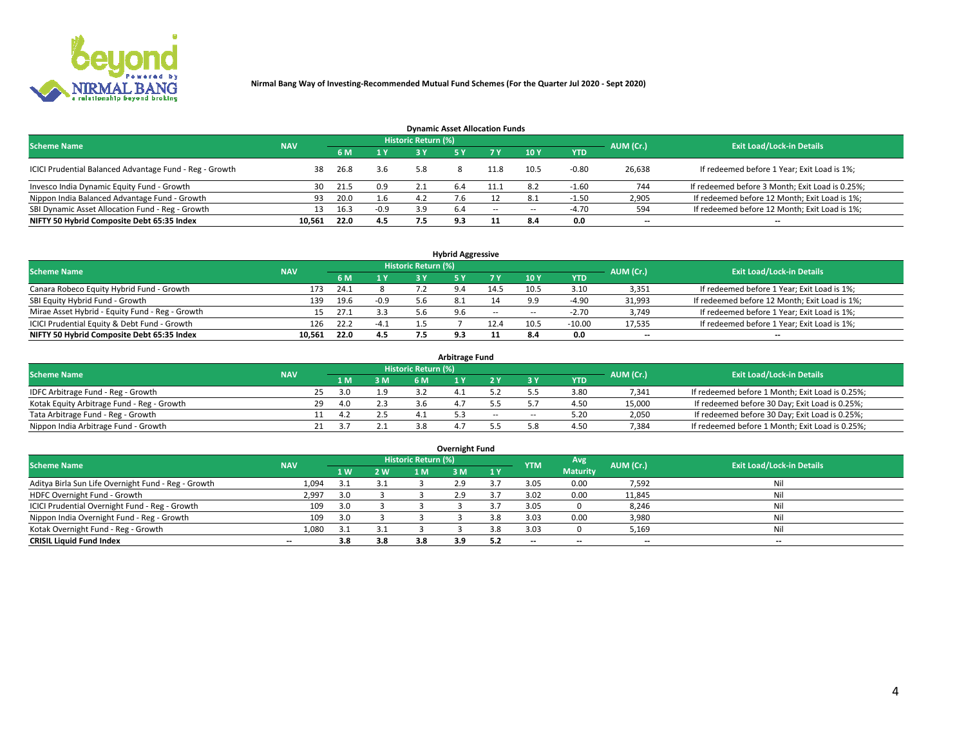

| <b>Dynamic Asset Allocation Funds</b>                   |            |      |        |                            |     |        |      |              |                          |                                                 |  |  |  |  |
|---------------------------------------------------------|------------|------|--------|----------------------------|-----|--------|------|--------------|--------------------------|-------------------------------------------------|--|--|--|--|
| <b>Scheme Name</b>                                      | <b>NAV</b> |      |        | <b>Historic Return (%)</b> |     |        |      |              | AUM (Cr.)                | <b>Exit Load/Lock-in Details</b>                |  |  |  |  |
|                                                         |            | 6 M  | 1 Y    | 3 Y                        |     |        | 10Y  | <b>YTD</b>   |                          |                                                 |  |  |  |  |
| ICICI Prudential Balanced Advantage Fund - Reg - Growth | 38         | 26.8 | 3.6    | 5.8                        |     | 11.8   | 10.5 | $-0.80$      | 26,638                   | If redeemed before 1 Year; Exit Load is 1%;     |  |  |  |  |
| Invesco India Dynamic Equity Fund - Growth              | 30         | 21.5 | 0.9    |                            | 6.4 | 11.1   | 8.2  | -1.60        | 744                      | If redeemed before 3 Month; Exit Load is 0.25%; |  |  |  |  |
| Nippon India Balanced Advantage Fund - Growth           | 93         | 20.0 | 1.6    | 4.Z                        |     |        |      | $\cdot 1.50$ | 2,905                    | If redeemed before 12 Month; Exit Load is 1%;   |  |  |  |  |
| SBI Dynamic Asset Allocation Fund - Reg - Growth        |            | 16.3 | $-0.9$ | 3.9                        | 6.4 | $\sim$ | --   | -4.70        | 594                      | If redeemed before 12 Month; Exit Load is 1%;   |  |  |  |  |
| NIFTY 50 Hybrid Composite Debt 65:35 Index              | 10.561     | 22.0 | 4.5    | 7.5                        | 9.3 |        | 8.4  | 0.0          | $\overline{\phantom{a}}$ | $- -$                                           |  |  |  |  |

| <b>Hybrid Aggressive</b>                        |                                                                      |      |        |    |     |        |                          |            |                          |                                               |  |  |  |  |
|-------------------------------------------------|----------------------------------------------------------------------|------|--------|----|-----|--------|--------------------------|------------|--------------------------|-----------------------------------------------|--|--|--|--|
|                                                 | Historic Return (%)<br><b>Scheme Name</b><br>AUM (Cr.)<br><b>NAV</b> |      |        |    |     |        |                          |            |                          |                                               |  |  |  |  |
|                                                 |                                                                      | 6 M  | 1 Y    | RУ |     |        | 10Y                      | <b>YTD</b> |                          | <b>Exit Load/Lock-in Details</b>              |  |  |  |  |
| Canara Robeco Equity Hybrid Fund - Growth       | 173                                                                  | 24.1 |        |    |     | 14.5   | 10.5                     | 3.10       | 3,351                    | If redeemed before 1 Year; Exit Load is 1%;   |  |  |  |  |
| SBI Equity Hybrid Fund - Growth                 | 139                                                                  | 19.6 | $-0.9$ |    |     |        |                          | $-4.90$    | 31,993                   | If redeemed before 12 Month; Exit Load is 1%; |  |  |  |  |
| Mirae Asset Hybrid - Equity Fund - Reg - Growth | 15.                                                                  | 27.1 | 3.3    |    | 9.6 | $\sim$ | $\overline{\phantom{a}}$ | $-2.70$    | 3,749                    | If redeemed before 1 Year; Exit Load is 1%;   |  |  |  |  |
| ICICI Prudential Equity & Debt Fund - Growth    | 126                                                                  | 22.2 | $-4.1$ |    |     |        | 10.5                     | $-10.00$   | 17,535                   | If redeemed before 1 Year; Exit Load is 1%;   |  |  |  |  |
| NIFTY 50 Hybrid Composite Debt 65:35 Index      | 10.561                                                               | 22.0 | 4.5    |    |     |        |                          | 0.0        | $\overline{\phantom{a}}$ | $- -$                                         |  |  |  |  |

| <b>Arbitrage Fund</b>                      |            |    |     |     |                     |  |        |        |            |           |                                                 |  |  |  |
|--------------------------------------------|------------|----|-----|-----|---------------------|--|--------|--------|------------|-----------|-------------------------------------------------|--|--|--|
| <b>Scheme Name</b>                         | <b>NAV</b> |    |     |     | Historic Return (%) |  |        |        |            | AUM (Cr.) | <b>Exit Load/Lock-in Details</b>                |  |  |  |
|                                            |            |    | LΜ  | 3 M | <b>6M</b>           |  |        |        | <b>YTD</b> |           |                                                 |  |  |  |
| IDFC Arbitrage Fund - Reg - Growth         |            | 25 | 3.0 | 1.9 |                     |  |        |        | 3.80       | 7,341     | If redeemed before 1 Month; Exit Load is 0.25%; |  |  |  |
| Kotak Equity Arbitrage Fund - Reg - Growth |            | 29 | 4.0 | 2.3 |                     |  |        |        | 4.50       | 15,000    | If redeemed before 30 Day; Exit Load is 0.25%;  |  |  |  |
| Tata Arbitrage Fund - Reg - Growth         |            |    |     |     |                     |  | $\sim$ | $\sim$ | 5.20       | 2,050     | If redeemed before 30 Day; Exit Load is 0.25%;  |  |  |  |
| Nippon India Arbitrage Fund - Growth       |            |    |     |     |                     |  |        |        | 4.50       | 7,384     | If redeemed before 1 Month; Exit Load is 0.25%; |  |  |  |

| Overnight Fund                                      |            |     |     |                            |     |     |            |                 |                          |                                  |  |  |  |
|-----------------------------------------------------|------------|-----|-----|----------------------------|-----|-----|------------|-----------------|--------------------------|----------------------------------|--|--|--|
| <b>Scheme Name</b>                                  | <b>NAV</b> |     |     | <b>Historic Return (%)</b> |     |     | <b>YTM</b> | Avg             | AUM (Cr.)                | <b>Exit Load/Lock-in Details</b> |  |  |  |
|                                                     |            | 1W  | 2 W | 1 M                        | : M | 1 Y |            | <b>Maturity</b> |                          |                                  |  |  |  |
| Aditya Birla Sun Life Overnight Fund - Reg - Growth | 1,094      |     | 3.1 |                            | 2.9 |     | 3.05       | 0.00            | 7,592                    | Nil                              |  |  |  |
| HDFC Overnight Fund - Growth                        | 2,997      |     |     |                            | 2.9 |     | 3.02       | 0.00            | 11,845                   | Nil                              |  |  |  |
| ICICI Prudential Overnight Fund - Reg - Growth      | 109        | 3.0 |     |                            |     |     | 3.05       |                 | 8,246                    | Nil                              |  |  |  |
| Nippon India Overnight Fund - Reg - Growth          | 109        | 3.0 |     |                            |     |     | 3.03       | 0.00            | 3,980                    | Nil                              |  |  |  |
| Kotak Overnight Fund - Reg - Growth                 | 1,080      |     | 3.1 |                            |     |     | 3.03       |                 | 5,169                    | Nil                              |  |  |  |
| <b>CRISIL Liquid Fund Index</b>                     | $- -$      | 3.8 | 3.8 | 3.8                        | 3.9 |     | --         | $- -$           | $\overline{\phantom{a}}$ | $- -$                            |  |  |  |

### **Overnight Fund**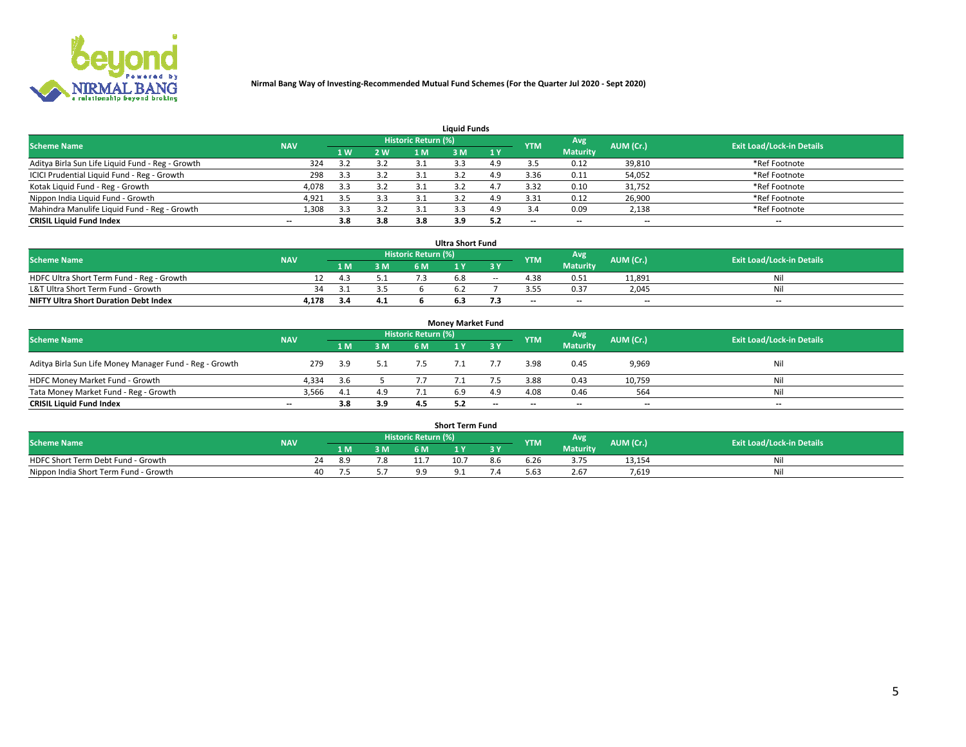

| <b>Liquid Funds</b>                              |            |                |     |                            |     |     |                          |                 |           |                                  |  |  |  |  |
|--------------------------------------------------|------------|----------------|-----|----------------------------|-----|-----|--------------------------|-----------------|-----------|----------------------------------|--|--|--|--|
| <b>Scheme Name</b>                               | <b>NAV</b> |                |     | <b>Historic Return (%)</b> |     |     | <b>YTM</b>               | Avg             | AUM (Cr.) | <b>Exit Load/Lock-in Details</b> |  |  |  |  |
|                                                  |            | 1 <sub>W</sub> | 2 W |                            | sм  | 1Y  |                          | <b>Maturity</b> |           |                                  |  |  |  |  |
| Aditya Birla Sun Life Liquid Fund - Reg - Growth | 324        |                | 3.2 |                            |     | 4 Q |                          | 0.12            | 39,810    | *Ref Footnote                    |  |  |  |  |
| ICICI Prudential Liquid Fund - Reg - Growth      | 298        | 3.3            | 3.2 |                            |     | 4.9 | 3.36                     | 0.11            | 54,052    | *Ref Footnote                    |  |  |  |  |
| Kotak Liquid Fund - Reg - Growth                 | 4,078      | 3.3            | 3.2 |                            |     |     | 3.32                     | 0.10            | 31,752    | *Ref Footnote                    |  |  |  |  |
| Nippon India Liquid Fund - Growth                | 4,921      |                | 3.3 |                            |     | 4.9 | 3.31                     | 0.12            | 26,900    | *Ref Footnote                    |  |  |  |  |
| Mahindra Manulife Liquid Fund - Reg - Growth     | 1,308      | 3.3            | 3.2 |                            |     | 4.9 |                          | 0.09            | 2,138     | *Ref Footnote                    |  |  |  |  |
| <b>CRISIL Liquid Fund Index</b>                  | $- -$      | 3.8            | 3.8 | 3.8                        | 3.9 | 5.2 | $\overline{\phantom{a}}$ | --              | --        | $\overline{\phantom{m}}$         |  |  |  |  |

| <b>Ultra Short Fund</b>                      |            |     |     |                            |    |        |            |                 |           |                                  |  |  |  |  |
|----------------------------------------------|------------|-----|-----|----------------------------|----|--------|------------|-----------------|-----------|----------------------------------|--|--|--|--|
| <b>Scheme Name</b>                           | <b>NAV</b> |     |     | <b>Historic Return (%)</b> |    |        | <b>YTM</b> | Avg             | AUM (Cr.) | <b>Exit Load/Lock-in Details</b> |  |  |  |  |
|                                              |            |     | 3 M | 6 M.                       |    | 3 Y    |            | <b>Maturity</b> |           |                                  |  |  |  |  |
| HDFC Ultra Short Term Fund - Reg - Growth    |            | 4.5 |     |                            | ה. | $\sim$ | 4.38       | 0.51            | 11,891    | Nil                              |  |  |  |  |
| L&T Ultra Short Term Fund - Growth           | 34.        |     |     |                            |    |        |            | 0.37            | 2.045     | Ni                               |  |  |  |  |
| <b>NIFTY Ultra Short Duration Debt Index</b> | 4,178      | 3.4 | 4.1 |                            |    |        | $-$        | $- -$           | $- -$     | $-$                              |  |  |  |  |

| <b>Monev Market Fund</b>                                |                          |     |     |                     |  |           |            |                 |           |                                  |  |  |  |  |
|---------------------------------------------------------|--------------------------|-----|-----|---------------------|--|-----------|------------|-----------------|-----------|----------------------------------|--|--|--|--|
| <b>Scheme Name</b>                                      | <b>NAV</b>               |     |     | Historic Return (%) |  |           | <b>YTM</b> | Avg.            | AUM (Cr.) | <b>Exit Load/Lock-in Details</b> |  |  |  |  |
|                                                         |                          | 1 M | 3 M | 6 M                 |  | <b>3Y</b> |            | <b>Maturity</b> |           |                                  |  |  |  |  |
| Aditya Birla Sun Life Money Manager Fund - Reg - Growth | 279                      | 3.9 | 5.1 | 7.5                 |  |           | 3.98       | 0.45            | 9,969     | Nil                              |  |  |  |  |
| HDFC Money Market Fund - Growth                         | 4.334                    | 3.6 |     |                     |  |           | 3.88       | 0.43            | 10,759    | Nil                              |  |  |  |  |
| Tata Money Market Fund - Reg - Growth                   | 3,566                    | 4.1 | 4.9 |                     |  | 4.9       | 4.08       | 0.46            | 564       | Nil                              |  |  |  |  |
| <b>CRISIL Liquid Fund Index</b>                         | $\overline{\phantom{a}}$ | 3.8 | 3.9 |                     |  | $-$       | $-$        | $- -$           | $- -$     | $\overline{\phantom{a}}$         |  |  |  |  |

| <b>Short Term Fund</b>                |            |  |      |     |                                  |          |     |            |                 |           |                                  |  |  |  |
|---------------------------------------|------------|--|------|-----|----------------------------------|----------|-----|------------|-----------------|-----------|----------------------------------|--|--|--|
| <b>Scheme Name</b>                    | <b>NAV</b> |  |      |     | Historic Return (%) <sup> </sup> |          |     | <b>YTM</b> | Avg             | AUM (Cr.) | <b>Exit Load/Lock-in Details</b> |  |  |  |
|                                       |            |  | 1 M  | 3 M | 6 M                              | <b>A</b> | 2V  |            | <b>Maturity</b> |           |                                  |  |  |  |
| HDFC Short Term Debt Fund - Growth    |            |  | אי א |     |                                  | 10.7     | 8.6 | b.Zb       | 3.75            | 13,154    | Nil                              |  |  |  |
| Nippon India Short Term Fund - Growth |            |  |      |     |                                  |          |     | 5.63       | 2.67            | 7.619     | Nil                              |  |  |  |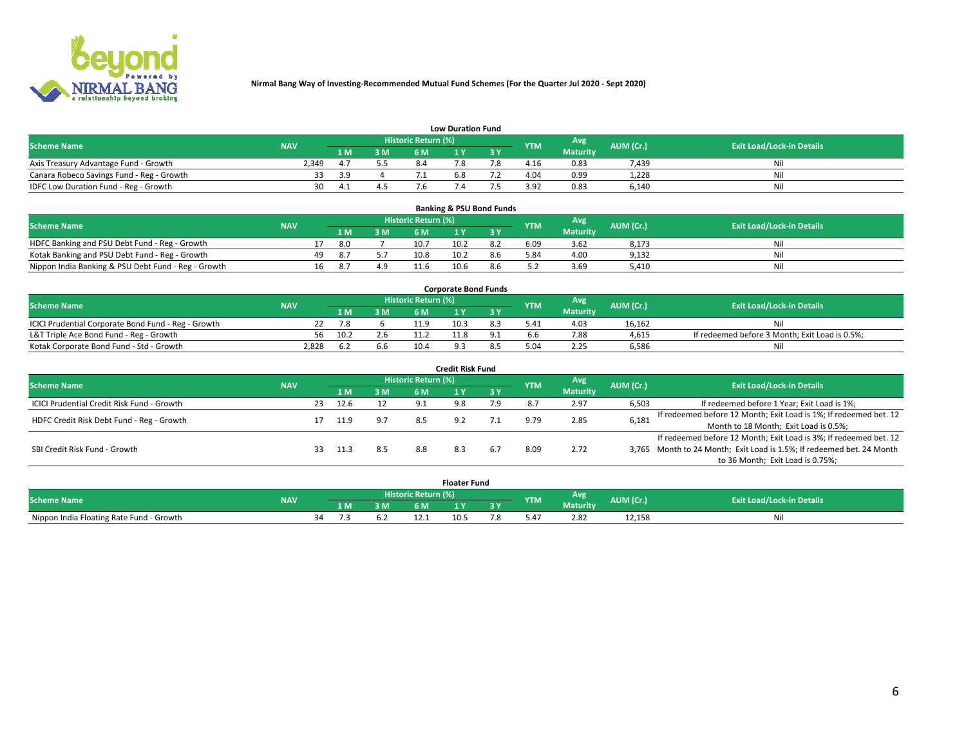

| <b>Low Duration Fund</b>                  |            |     |     |                     |  |  |            |                 |           |                                  |  |  |  |  |
|-------------------------------------------|------------|-----|-----|---------------------|--|--|------------|-----------------|-----------|----------------------------------|--|--|--|--|
| <b>Scheme Name</b>                        | <b>NAV</b> |     |     | Historic Return (%) |  |  | <b>YTM</b> | Avg             | AUM (Cr.) | <b>Exit Load/Lock-in Details</b> |  |  |  |  |
|                                           |            | LM. | 3 M |                     |  |  |            | <b>Maturity</b> |           |                                  |  |  |  |  |
| Axis Treasury Advantage Fund - Growth     | 2.349      |     |     |                     |  |  | 4.16       | 0.83            | 7,439     | Nil                              |  |  |  |  |
| Canara Robeco Savings Fund - Reg - Growth |            | 3 g |     |                     |  |  | 4.04       | 0.99            | 1,228     | Nil                              |  |  |  |  |
| IDFC Low Duration Fund - Reg - Growth     | 30         | 4.  |     |                     |  |  | 3.92       | 0.83            | 6,140     | Nil                              |  |  |  |  |

| <b>Banking &amp; PSU Bond Funds</b>                 |            |     |      |     |                     |      |     |            |                 |           |                                  |  |  |  |
|-----------------------------------------------------|------------|-----|------|-----|---------------------|------|-----|------------|-----------------|-----------|----------------------------------|--|--|--|
| <b>Scheme Name</b>                                  | <b>NAV</b> |     |      |     | Historic Return (%) |      |     | <b>YTM</b> | Avg             | AUM (Cr.) | <b>Exit Load/Lock-in Details</b> |  |  |  |
|                                                     |            |     | 1 M. | 3 M | 6 M                 |      |     |            | <b>Maturity</b> |           |                                  |  |  |  |
| HDFC Banking and PSU Debt Fund - Reg - Growth       |            |     | 8.0  |     | 10.7                | 10.2 | 8.2 | 6.09       | 3.62            | 8,173     | Ni                               |  |  |  |
| Kotak Banking and PSU Debt Fund - Reg - Growth      |            | 49. |      |     | 10.8                | 10.2 | 8.6 | 5.84       | 4.00            | 9,132     | Ni                               |  |  |  |
| Nippon India Banking & PSU Debt Fund - Reg - Growth |            | 16  | 8.7  | 4.9 | 11.6                | 10.6 |     |            | 3.69            | 5.410     | Ni                               |  |  |  |

| <b>Corporate Bond Funds</b>                         |            |      |     |                            |      |  |            |                 |           |                                                |  |  |  |  |
|-----------------------------------------------------|------------|------|-----|----------------------------|------|--|------------|-----------------|-----------|------------------------------------------------|--|--|--|--|
| <b>Scheme Name</b>                                  | <b>NAV</b> |      |     | <b>Historic Return (%)</b> |      |  | <b>YTM</b> | Avg             | AUM (Cr.) | <b>Exit Load/Lock-in Details</b>               |  |  |  |  |
|                                                     |            |      | 3 M | 6 M                        |      |  |            | <b>Maturity</b> |           |                                                |  |  |  |  |
| ICICI Prudential Corporate Bond Fund - Reg - Growth |            |      |     |                            | 10.3 |  | 5.41       | 4.03            | 16.162    | Nil                                            |  |  |  |  |
| L&T Triple Ace Bond Fund - Reg - Growth             | 56         | 10.2 | 2.6 |                            |      |  |            | 7.88            | 4,615     | If redeemed before 3 Month; Exit Load is 0.5%; |  |  |  |  |
| Kotak Corporate Bond Fund - Std - Growth            | 2,828      |      | 6.6 | 10.4                       |      |  |            | 2.25            | 6,586     | Nil                                            |  |  |  |  |

| <b>Credit Risk Fund</b>                           |            |    |      |     |                     |     |     |            |                 |           |                                                                       |  |  |  |
|---------------------------------------------------|------------|----|------|-----|---------------------|-----|-----|------------|-----------------|-----------|-----------------------------------------------------------------------|--|--|--|
| <b>Scheme Name</b>                                | <b>NAV</b> |    |      |     | Historic Return (%) |     |     | <b>YTM</b> | <b>Avg</b>      | AUM (Cr.) | <b>Exit Load/Lock-in Details</b>                                      |  |  |  |
|                                                   |            |    | 1 M  | 3 M | 6 M                 |     | 3 Y |            | <b>Maturity</b> |           |                                                                       |  |  |  |
| <b>ICICI Prudential Credit Risk Fund - Growth</b> |            | 23 | 12.6 |     | 9.1                 | 9.8 | 7.9 |            | 2.97            | 6,503     | If redeemed before 1 Year; Exit Load is 1%;                           |  |  |  |
| HDFC Credit Risk Debt Fund - Reg - Growth         |            |    | 11.9 |     | 8.5                 |     |     |            | 2.85            | 6,181     | If redeemed before 12 Month; Exit Load is 1%; If redeemed bet. 12     |  |  |  |
|                                                   |            |    |      |     |                     |     |     |            |                 |           | Month to 18 Month; Exit Load is 0.5%;                                 |  |  |  |
|                                                   |            |    |      |     |                     |     |     |            |                 |           | If redeemed before 12 Month; Exit Load is 3%; If redeemed bet. 12     |  |  |  |
| SBI Credit Risk Fund - Growth                     |            | 33 | 11.3 | 8.5 | 8.8                 | 8.3 |     | 8.09       | 2.72            |           | 3,765 Month to 24 Month; Exit Load is 1.5%; If redeemed bet. 24 Month |  |  |  |
|                                                   |            |    |      |     |                     |     |     |            |                 |           | to 36 Month; Exit Load is 0.75%;                                      |  |  |  |

| <b>Floater Fund</b>                      |            |    |     |    |                     |      |   |               |                 |           |                                  |  |
|------------------------------------------|------------|----|-----|----|---------------------|------|---|---------------|-----------------|-----------|----------------------------------|--|
| <b>Scheme Name</b>                       | <b>NAV</b> |    |     |    | Historic Return (%) |      |   | <b>YTM</b>    | Avg             | AUM (Cr.) | <b>Exit Load/Lock-in Details</b> |  |
|                                          |            |    | 1 M | ЗM | 5M                  | .    | . |               | <b>Maturity</b> |           |                                  |  |
| Nippon India Floating Rate Fund - Growth |            | 34 |     |    |                     | 10.5 |   | $0.4^{\circ}$ | 2.82            | 12,158    | NL                               |  |